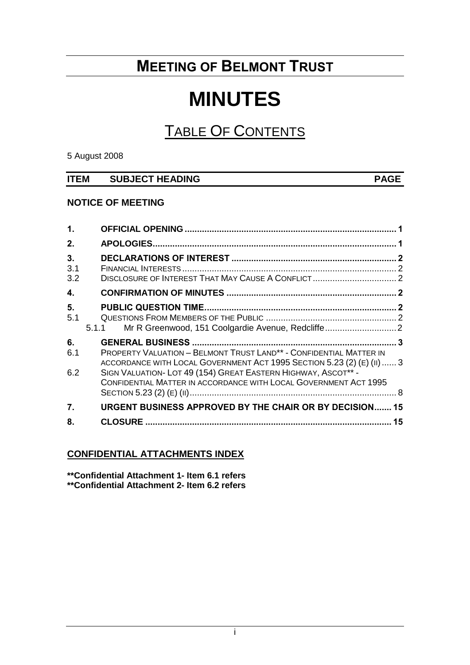# **MEETING OF BELMONT TRUST**

# **MINUTES**

# TABLE OF CONTENTS

5 August 2008

| <b>ITEM</b> | <b>SUBJECT HEADING</b> | <b>PAGE</b> |
|-------------|------------------------|-------------|
|             |                        |             |

# **NOTICE OF MEETING**

| $\mathbf{1}$ .   |                                                                                                                                                                                                             |  |
|------------------|-------------------------------------------------------------------------------------------------------------------------------------------------------------------------------------------------------------|--|
| 2.               |                                                                                                                                                                                                             |  |
| 3.<br>3.1<br>3.2 |                                                                                                                                                                                                             |  |
| 4.               |                                                                                                                                                                                                             |  |
| 5.<br>5.1        | Mr R Greenwood, 151 Coolgardie Avenue, Redcliffe2<br>5.1.1                                                                                                                                                  |  |
| 6.<br>6.1        | PROPERTY VALUATION - BELMONT TRUST LAND <sup>**</sup> - CONFIDENTIAL MATTER IN                                                                                                                              |  |
| 6.2              | ACCORDANCE WITH LOCAL GOVERNMENT ACT 1995 SECTION 5.23 (2) (E) (II)  3<br>SIGN VALUATION- LOT 49 (154) GREAT EASTERN HIGHWAY, ASCOT** -<br>CONFIDENTIAL MATTER IN ACCORDANCE WITH LOCAL GOVERNMENT ACT 1995 |  |
| 7.               | <b>URGENT BUSINESS APPROVED BY THE CHAIR OR BY DECISION 15</b>                                                                                                                                              |  |
| 8.               | 15                                                                                                                                                                                                          |  |

# **CONFIDENTIAL ATTACHMENTS INDEX**

**\*\*Confidential Attachment 1- Item 6.1 refers \*\*Confidential Attachment 2- Item 6.2 refers**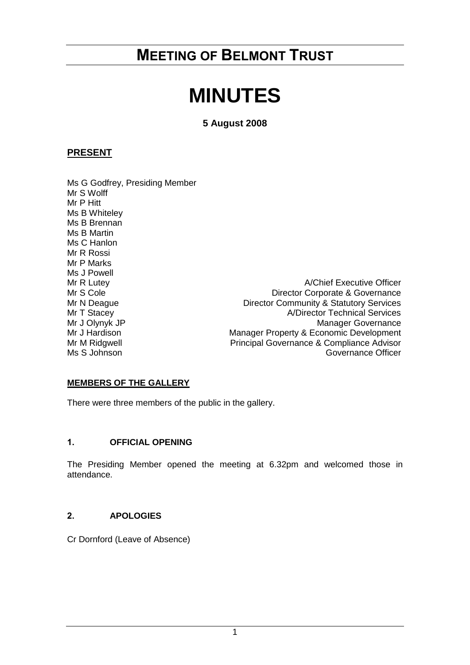# **MEETING OF BELMONT TRUST**

# **MINUTES**

# **5 August 2008**

# **PRESENT**

Ms G Godfrey, Presiding Member Mr S Wolff Mr P Hitt Ms B Whiteley Ms B Brennan Ms B Martin Ms C Hanlon Mr R Rossi Mr P Marks Ms J Powell

Mr R Lutey **A/Chief Executive Officer** Mr S Cole **Director Corporate & Governance** Mr N Deague **Director Community & Statutory Services** Mr T Stacey Mr T Stacey 2008 Mr T Stacey 2008 Mr J Olynyk JP<br>Manager Governance Mr J Olynyk JP<br>Manager Governance<br>Manager Property & Economic Development Mr J Hardison Manager Property & Economic Development<br>Mr M Ridgwell Mr M Ridgwell Principal Governance & Compliance Advisor Principal Governance & Compliance Advisor Ms S Johnson Governance Officer

# **MEMBERS OF THE GALLERY**

There were three members of the public in the gallery.

#### <span id="page-1-0"></span>**1. OFFICIAL OPENING**

The Presiding Member opened the meeting at 6.32pm and welcomed those in attendance.

#### <span id="page-1-1"></span>**2. APOLOGIES**

Cr Dornford (Leave of Absence)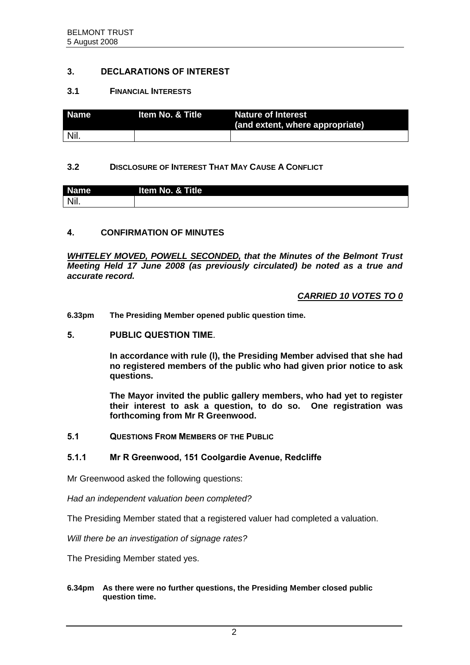### <span id="page-2-0"></span>**3. DECLARATIONS OF INTEREST**

#### <span id="page-2-1"></span>**3.1 FINANCIAL INTERESTS**

| Name | l Item No. & Title | <b>Nature of Interest</b><br>(and extent, where appropriate) |
|------|--------------------|--------------------------------------------------------------|
| Nil. |                    |                                                              |

#### <span id="page-2-2"></span>**3.2 DISCLOSURE OF INTEREST THAT MAY CAUSE A CONFLICT**

| <b>Name</b> | Item No. & Title |
|-------------|------------------|
| Nil.        |                  |

### <span id="page-2-3"></span>**4. CONFIRMATION OF MINUTES**

*WHITELEY MOVED, POWELL SECONDED, that the Minutes of the Belmont Trust Meeting Held 17 June 2008 (as previously circulated) be noted as a true and accurate record.*

### *CARRIED 10 VOTES TO 0*

**6.33pm The Presiding Member opened public question time.**

#### <span id="page-2-4"></span>**5. PUBLIC QUESTION TIME.**

**In accordance with rule (l), the Presiding Member advised that she had no registered members of the public who had given prior notice to ask questions.**

**The Mayor invited the public gallery members, who had yet to register their interest to ask a question, to do so. One registration was forthcoming from Mr R Greenwood.**

<span id="page-2-5"></span>**5.1 QUESTIONS FROM MEMBERS OF THE PUBLIC**

#### <span id="page-2-6"></span>**5.1.1 Mr R Greenwood, 151 Coolgardie Avenue, Redcliffe**

Mr Greenwood asked the following questions:

*Had an independent valuation been completed?* 

The Presiding Member stated that a registered valuer had completed a valuation.

*Will there be an investigation of signage rates?*

The Presiding Member stated yes.

#### **6.34pm As there were no further questions, the Presiding Member closed public question time.**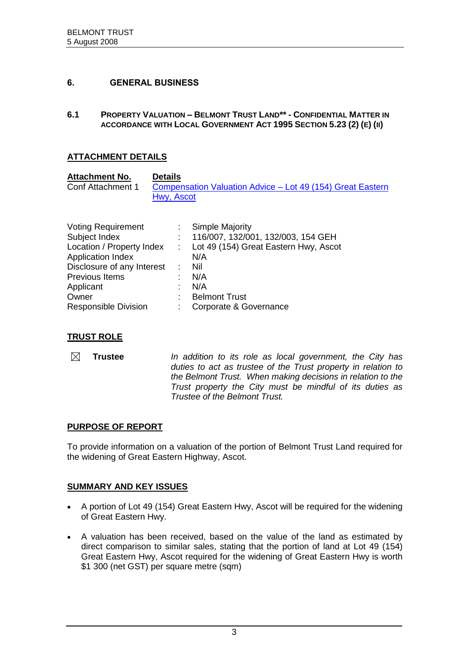### <span id="page-3-0"></span>**6. GENERAL BUSINESS**

<span id="page-3-1"></span>**6.1 PROPERTY VALUATION – BELMONT TRUST LAND\*\* - CONFIDENTIAL MATTER IN ACCORDANCE WITH LOCAL GOVERNMENT ACT 1995 SECTION 5.23 (2) (E) (II)**

# **ATTACHMENT DETAILS**

| <b>Attachment No.</b> | <b>Details</b>                                                           |
|-----------------------|--------------------------------------------------------------------------|
| Conf Attachment 1     | Compensation Valuation Advice – Lot 49 (154) Great Eastern<br>Hwy. Ascot |

| <b>Voting Requirement</b>   | <b>Simple Majority</b>                |
|-----------------------------|---------------------------------------|
| Subject Index               | 116/007, 132/001, 132/003, 154 GEH    |
| Location / Property Index   | Lot 49 (154) Great Eastern Hwy, Ascot |
| <b>Application Index</b>    | N/A                                   |
| Disclosure of any Interest  | Nil                                   |
| Previous Items              | N/A                                   |
| Applicant                   | N/A                                   |
| Owner                       | <b>Belmont Trust</b>                  |
| <b>Responsible Division</b> | Corporate & Governance                |
|                             |                                       |

#### **TRUST ROLE**

 $\boxtimes$ **Trustee** *In addition to its role as local government, the City has duties to act as trustee of the Trust property in relation to the Belmont Trust. When making decisions in relation to the Trust property the City must be mindful of its duties as Trustee of the Belmont Trust.*

#### **PURPOSE OF REPORT**

To provide information on a valuation of the portion of Belmont Trust Land required for the widening of Great Eastern Highway, Ascot.

#### **SUMMARY AND KEY ISSUES**

- A portion of Lot 49 (154) Great Eastern Hwy, Ascot will be required for the widening of Great Eastern Hwy.
- A valuation has been received, based on the value of the land as estimated by direct comparison to similar sales, stating that the portion of land at Lot 49 (154) Great Eastern Hwy, Ascot required for the widening of Great Eastern Hwy is worth \$1 300 (net GST) per square metre (sqm)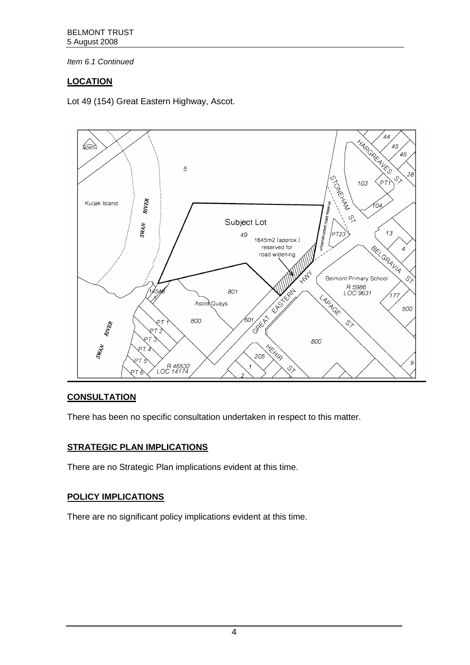# **LOCATION**

Lot 49 (154) Great Eastern Highway, Ascot.



# **CONSULTATION**

There has been no specific consultation undertaken in respect to this matter.

# **STRATEGIC PLAN IMPLICATIONS**

There are no Strategic Plan implications evident at this time.

# **POLICY IMPLICATIONS**

There are no significant policy implications evident at this time.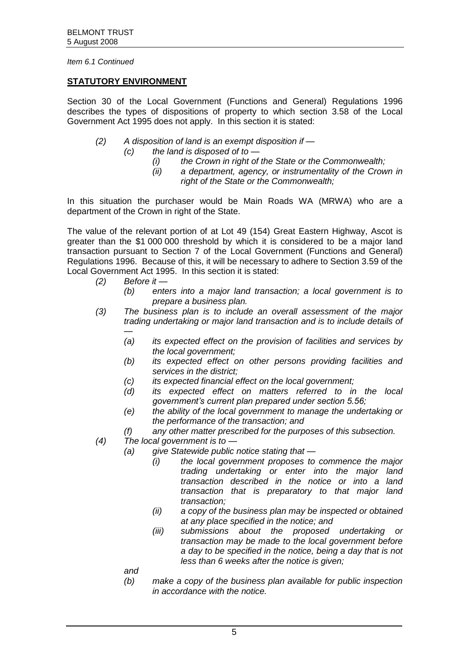#### **STATUTORY ENVIRONMENT**

Section 30 of the Local Government (Functions and General) Regulations 1996 describes the types of dispositions of property to which section 3.58 of the Local Government Act 1995 does not apply. In this section it is stated:

- *(2) A disposition of land is an exempt disposition if —*
	- *(c) the land is disposed of to —*
		- *(i) the Crown in right of the State or the Commonwealth;*
		- *(ii) a department, agency, or instrumentality of the Crown in right of the State or the Commonwealth;*

In this situation the purchaser would be Main Roads WA (MRWA) who are a department of the Crown in right of the State.

The value of the relevant portion of at Lot 49 (154) Great Eastern Highway, Ascot is greater than the \$1 000 000 threshold by which it is considered to be a major land transaction pursuant to Section 7 of the Local Government (Functions and General) Regulations 1996. Because of this, it will be necessary to adhere to Section 3.59 of the Local Government Act 1995. In this section it is stated:

#### *(2) Before it —*

- *(b) enters into a major land transaction; a local government is to prepare a business plan.*
- *(3) The business plan is to include an overall assessment of the major trading undertaking or major land transaction and is to include details of* 
	- *— (a) its expected effect on the provision of facilities and services by the local government;*
	- *(b) its expected effect on other persons providing facilities and services in the district;*
	- *(c) its expected financial effect on the local government;*
	- *(d) its expected effect on matters referred to in the local government's current plan prepared under section 5.56;*
	- *(e) the ability of the local government to manage the undertaking or the performance of the transaction; and*
	- *(f) any other matter prescribed for the purposes of this subsection.*
- *(4) The local government is to —*
	- *(a) give Statewide public notice stating that —*
		- *(i) the local government proposes to commence the major trading undertaking or enter into the major land transaction described in the notice or into a land transaction that is preparatory to that major land transaction;*
		- *(ii) a copy of the business plan may be inspected or obtained at any place specified in the notice; and*
		- *(iii) submissions about the proposed undertaking or transaction may be made to the local government before a day to be specified in the notice, being a day that is not less than 6 weeks after the notice is given;*

*and*

*(b) make a copy of the business plan available for public inspection in accordance with the notice.*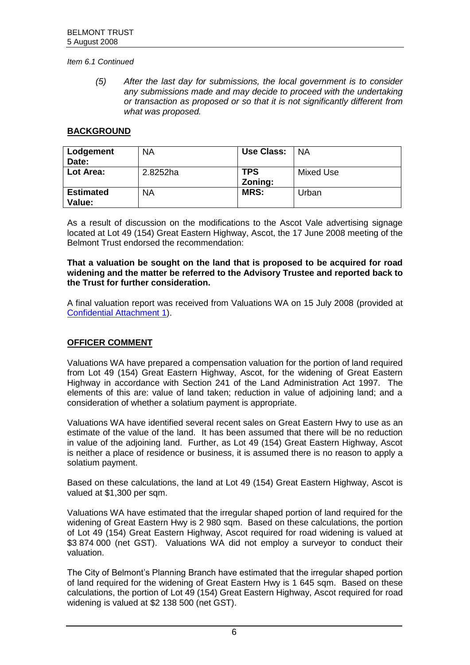*(5) After the last day for submissions, the local government is to consider any submissions made and may decide to proceed with the undertaking or transaction as proposed or so that it is not significantly different from what was proposed.*

#### **BACKGROUND**

| Lodgement        | <b>NA</b> | Use Class: | <b>NA</b> |
|------------------|-----------|------------|-----------|
| Date:            |           |            |           |
| Lot Area:        | 2.8252ha  | <b>TPS</b> | Mixed Use |
|                  |           | Zoning:    |           |
| <b>Estimated</b> | <b>NA</b> | MRS:       | Urban     |
| Value:           |           |            |           |

As a result of discussion on the modifications to the Ascot Vale advertising signage located at Lot 49 (154) Great Eastern Highway, Ascot, the 17 June 2008 meeting of the Belmont Trust endorsed the recommendation:

#### **That a valuation be sought on the land that is proposed to be acquired for road widening and the matter be referred to the Advisory Trustee and reported back to the Trust for further consideration.**

A final valuation report was received from Valuations WA on 15 July 2008 (provided at [Confidential Attachment](https://www.belmont.wa.gov.au/docs/ecm/Belmont%20Trust%20Meeting%205%20August%202008%20Confidential%20Attachments) 1).

# **OFFICER COMMENT**

Valuations WA have prepared a compensation valuation for the portion of land required from Lot 49 (154) Great Eastern Highway, Ascot, for the widening of Great Eastern Highway in accordance with Section 241 of the Land Administration Act 1997. The elements of this are: value of land taken; reduction in value of adjoining land; and a consideration of whether a solatium payment is appropriate.

Valuations WA have identified several recent sales on Great Eastern Hwy to use as an estimate of the value of the land. It has been assumed that there will be no reduction in value of the adjoining land. Further, as Lot 49 (154) Great Eastern Highway, Ascot is neither a place of residence or business, it is assumed there is no reason to apply a solatium payment.

Based on these calculations, the land at Lot 49 (154) Great Eastern Highway, Ascot is valued at \$1,300 per sqm.

Valuations WA have estimated that the irregular shaped portion of land required for the widening of Great Eastern Hwy is 2 980 sqm. Based on these calculations, the portion of Lot 49 (154) Great Eastern Highway, Ascot required for road widening is valued at \$3 874 000 (net GST). Valuations WA did not employ a surveyor to conduct their valuation.

The City of Belmont's Planning Branch have estimated that the irregular shaped portion of land required for the widening of Great Eastern Hwy is 1 645 sqm. Based on these calculations, the portion of Lot 49 (154) Great Eastern Highway, Ascot required for road widening is valued at \$2 138 500 (net GST).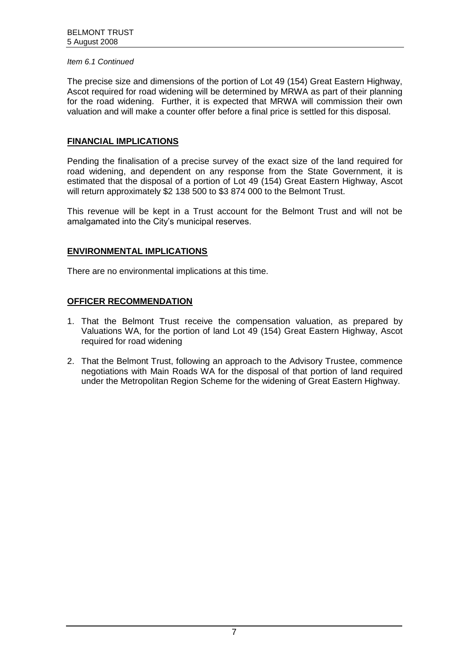The precise size and dimensions of the portion of Lot 49 (154) Great Eastern Highway, Ascot required for road widening will be determined by MRWA as part of their planning for the road widening. Further, it is expected that MRWA will commission their own valuation and will make a counter offer before a final price is settled for this disposal.

# **FINANCIAL IMPLICATIONS**

Pending the finalisation of a precise survey of the exact size of the land required for road widening, and dependent on any response from the State Government, it is estimated that the disposal of a portion of Lot 49 (154) Great Eastern Highway, Ascot will return approximately \$2 138 500 to \$3 874 000 to the Belmont Trust.

This revenue will be kept in a Trust account for the Belmont Trust and will not be amalgamated into the City's municipal reserves.

### **ENVIRONMENTAL IMPLICATIONS**

There are no environmental implications at this time.

# **OFFICER RECOMMENDATION**

- 1. That the Belmont Trust receive the compensation valuation, as prepared by Valuations WA, for the portion of land Lot 49 (154) Great Eastern Highway, Ascot required for road widening
- 2. That the Belmont Trust, following an approach to the Advisory Trustee, commence negotiations with Main Roads WA for the disposal of that portion of land required under the Metropolitan Region Scheme for the widening of Great Eastern Highway.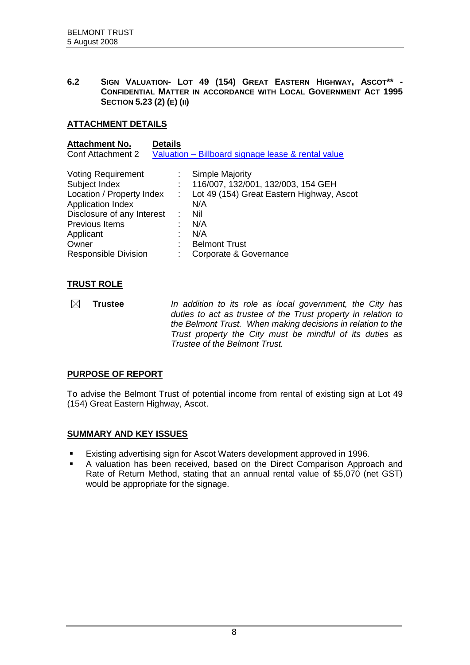<span id="page-8-0"></span>**6.2 SIGN VALUATION- LOT 49 (154) GREAT EASTERN HIGHWAY, ASCOT\*\* - CONFIDENTIAL MATTER IN ACCORDANCE WITH LOCAL GOVERNMENT ACT 1995 SECTION 5.23 (2) (E) (II)**

### **ATTACHMENT DETAILS**

| <b>Attachment No.</b>       | <b>Details</b> |                                                    |
|-----------------------------|----------------|----------------------------------------------------|
| <b>Conf Attachment 2</b>    |                | Valuation - Billboard signage lease & rental value |
| <b>Voting Requirement</b>   |                | Simple Majority                                    |
| Subject Index               |                | 116/007, 132/001, 132/003, 154 GEH                 |
| Location / Property Index   | $\sim 100$     | Lot 49 (154) Great Eastern Highway, Ascot          |
| <b>Application Index</b>    |                | N/A                                                |
| Disclosure of any Interest  |                | Nil                                                |
| Previous Items              |                | N/A                                                |
| Applicant                   |                | N/A                                                |
| Owner                       |                | <b>Belmont Trust</b>                               |
| <b>Responsible Division</b> |                | Corporate & Governance                             |

# **TRUST ROLE**

 $\boxtimes$ **Trustee** *In addition to its role as local government, the City has duties to act as trustee of the Trust property in relation to the Belmont Trust. When making decisions in relation to the Trust property the City must be mindful of its duties as Trustee of the Belmont Trust.*

# **PURPOSE OF REPORT**

To advise the Belmont Trust of potential income from rental of existing sign at Lot 49 (154) Great Eastern Highway, Ascot.

# **SUMMARY AND KEY ISSUES**

- Existing advertising sign for Ascot Waters development approved in 1996.
- A valuation has been received, based on the Direct Comparison Approach and Rate of Return Method, stating that an annual rental value of \$5,070 (net GST) would be appropriate for the signage.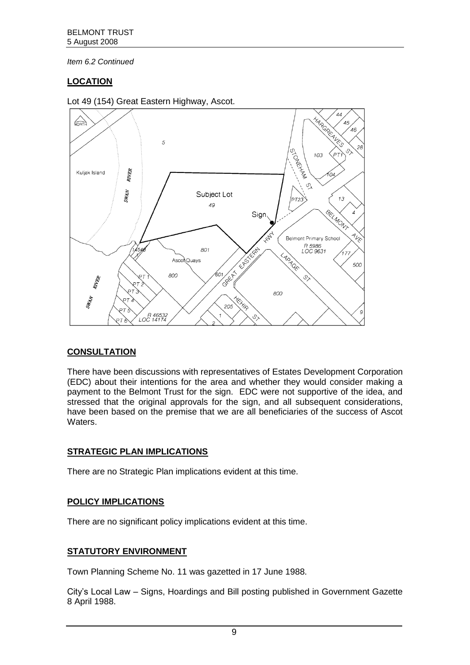# **LOCATION**



Lot 49 (154) Great Eastern Highway, Ascot.

# **CONSULTATION**

There have been discussions with representatives of Estates Development Corporation (EDC) about their intentions for the area and whether they would consider making a payment to the Belmont Trust for the sign. EDC were not supportive of the idea, and stressed that the original approvals for the sign, and all subsequent considerations, have been based on the premise that we are all beneficiaries of the success of Ascot **Waters** 

# **STRATEGIC PLAN IMPLICATIONS**

There are no Strategic Plan implications evident at this time.

# **POLICY IMPLICATIONS**

There are no significant policy implications evident at this time.

# **STATUTORY ENVIRONMENT**

Town Planning Scheme No. 11 was gazetted in 17 June 1988.

City's Local Law – Signs, Hoardings and Bill posting published in Government Gazette 8 April 1988.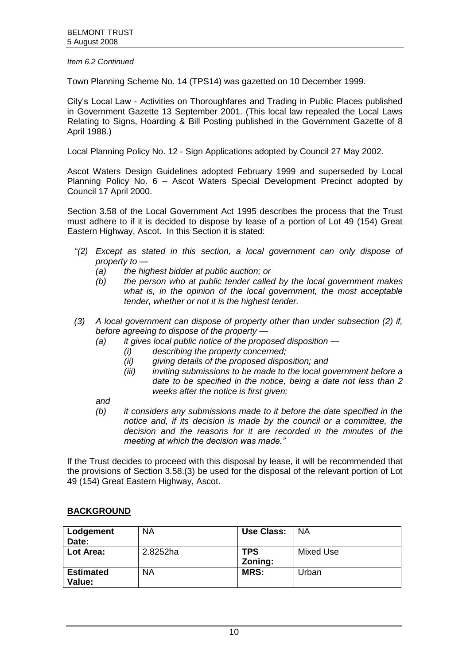Town Planning Scheme No. 14 (TPS14) was gazetted on 10 December 1999.

City's Local Law - Activities on Thoroughfares and Trading in Public Places published in Government Gazette 13 September 2001. (This local law repealed the Local Laws Relating to Signs, Hoarding & Bill Posting published in the Government Gazette of 8 April 1988.)

Local Planning Policy No. 12 - Sign Applications adopted by Council 27 May 2002.

Ascot Waters Design Guidelines adopted February 1999 and superseded by Local Planning Policy No. 6 – Ascot Waters Special Development Precinct adopted by Council 17 April 2000.

Section 3.58 of the Local Government Act 1995 describes the process that the Trust must adhere to if it is decided to dispose by lease of a portion of Lot 49 (154) Great Eastern Highway, Ascot. In this Section it is stated:

- *"(2) Except as stated in this section, a local government can only dispose of property to —*
	- *(a) the highest bidder at public auction; or*
	- *(b) the person who at public tender called by the local government makes what is, in the opinion of the local government, the most acceptable tender, whether or not it is the highest tender.*
- *(3) A local government can dispose of property other than under subsection (2) if, before agreeing to dispose of the property —*
	- *(a) it gives local public notice of the proposed disposition —*
		- *(i) describing the property concerned;*
		- *(ii) giving details of the proposed disposition; and*
		- *(iii) inviting submissions to be made to the local government before a date to be specified in the notice, being a date not less than 2 weeks after the notice is first given;*

*and*

*(b) it considers any submissions made to it before the date specified in the notice and, if its decision is made by the council or a committee, the decision and the reasons for it are recorded in the minutes of the meeting at which the decision was made."*

If the Trust decides to proceed with this disposal by lease, it will be recommended that the provisions of Section 3.58.(3) be used for the disposal of the relevant portion of Lot 49 (154) Great Eastern Highway, Ascot.

# **BACKGROUND**

| Lodgement                  | <b>NA</b> | <b>Use Class:</b> | <b>NA</b> |
|----------------------------|-----------|-------------------|-----------|
| Date:                      |           |                   |           |
| Lot Area:                  | 2.8252ha  | <b>TPS</b>        | Mixed Use |
|                            |           | Zoning:           |           |
| <b>Estimated</b><br>Value: | <b>NA</b> | <b>MRS:</b>       | Urban     |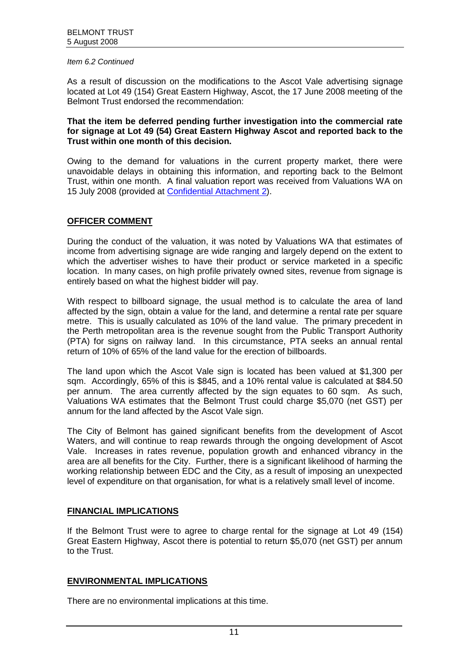As a result of discussion on the modifications to the Ascot Vale advertising signage located at Lot 49 (154) Great Eastern Highway, Ascot, the 17 June 2008 meeting of the Belmont Trust endorsed the recommendation:

#### **That the item be deferred pending further investigation into the commercial rate for signage at Lot 49 (54) Great Eastern Highway Ascot and reported back to the Trust within one month of this decision.**

Owing to the demand for valuations in the current property market, there were unavoidable delays in obtaining this information, and reporting back to the Belmont Trust, within one month. A final valuation report was received from Valuations WA on 15 July 2008 (provided at [Confidential Attachment](https://www.belmont.wa.gov.au/docs/ecm/Belmont%20Trust%20Meeting%205%20August%202008%20Confidential%20Attachments) 2).

### **OFFICER COMMENT**

During the conduct of the valuation, it was noted by Valuations WA that estimates of income from advertising signage are wide ranging and largely depend on the extent to which the advertiser wishes to have their product or service marketed in a specific location. In many cases, on high profile privately owned sites, revenue from signage is entirely based on what the highest bidder will pay.

With respect to billboard signage, the usual method is to calculate the area of land affected by the sign, obtain a value for the land, and determine a rental rate per square metre. This is usually calculated as 10% of the land value. The primary precedent in the Perth metropolitan area is the revenue sought from the Public Transport Authority (PTA) for signs on railway land. In this circumstance, PTA seeks an annual rental return of 10% of 65% of the land value for the erection of billboards.

The land upon which the Ascot Vale sign is located has been valued at \$1,300 per sqm. Accordingly, 65% of this is \$845, and a 10% rental value is calculated at \$84.50 per annum. The area currently affected by the sign equates to 60 sqm. As such, Valuations WA estimates that the Belmont Trust could charge \$5,070 (net GST) per annum for the land affected by the Ascot Vale sign.

The City of Belmont has gained significant benefits from the development of Ascot Waters, and will continue to reap rewards through the ongoing development of Ascot Vale. Increases in rates revenue, population growth and enhanced vibrancy in the area are all benefits for the City. Further, there is a significant likelihood of harming the working relationship between EDC and the City, as a result of imposing an unexpected level of expenditure on that organisation, for what is a relatively small level of income.

#### **FINANCIAL IMPLICATIONS**

If the Belmont Trust were to agree to charge rental for the signage at Lot 49 (154) Great Eastern Highway, Ascot there is potential to return \$5,070 (net GST) per annum to the Trust.

#### **ENVIRONMENTAL IMPLICATIONS**

There are no environmental implications at this time.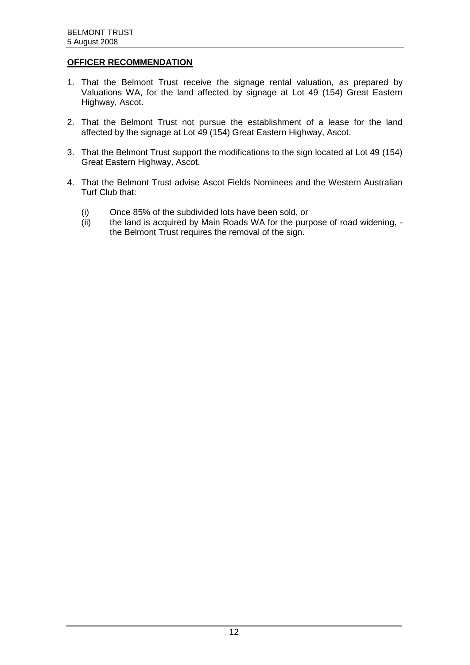# **OFFICER RECOMMENDATION**

- 1. That the Belmont Trust receive the signage rental valuation, as prepared by Valuations WA, for the land affected by signage at Lot 49 (154) Great Eastern Highway, Ascot.
- 2. That the Belmont Trust not pursue the establishment of a lease for the land affected by the signage at Lot 49 (154) Great Eastern Highway, Ascot.
- 3. That the Belmont Trust support the modifications to the sign located at Lot 49 (154) Great Eastern Highway, Ascot.
- 4. That the Belmont Trust advise Ascot Fields Nominees and the Western Australian Turf Club that:
	- (i) Once 85% of the subdivided lots have been sold, or (ii) the land is acquired by Main Roads WA for the purp
	- the land is acquired by Main Roads WA for the purpose of road widening, the Belmont Trust requires the removal of the sign.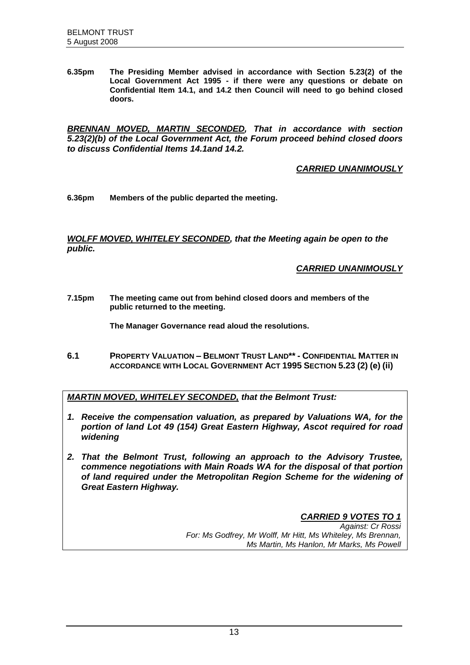**6.35pm The Presiding Member advised in accordance with Section 5.23(2) of the Local Government Act 1995 - if there were any questions or debate on Confidential Item 14.1, and 14.2 then Council will need to go behind closed doors.**

*BRENNAN MOVED, MARTIN SECONDED, That in accordance with section 5.23(2)(b) of the Local Government Act, the Forum proceed behind closed doors to discuss Confidential Items 14.1and 14.2.* 

*CARRIED UNANIMOUSLY*

**6.36pm Members of the public departed the meeting.**

*WOLFF MOVED, WHITELEY SECONDED, that the Meeting again be open to the public.*

*CARRIED UNANIMOUSLY*

**7.15pm The meeting came out from behind closed doors and members of the public returned to the meeting.**

**The Manager Governance read aloud the resolutions.**

**6.1 PROPERTY VALUATION – BELMONT TRUST LAND\*\* - CONFIDENTIAL MATTER IN ACCORDANCE WITH LOCAL GOVERNMENT ACT 1995 SECTION 5.23 (2) (e) (ii)**

*MARTIN MOVED, WHITELEY SECONDED, that the Belmont Trust:*

- *1. Receive the compensation valuation, as prepared by Valuations WA, for the portion of land Lot 49 (154) Great Eastern Highway, Ascot required for road widening*
- *2. That the Belmont Trust, following an approach to the Advisory Trustee, commence negotiations with Main Roads WA for the disposal of that portion of land required under the Metropolitan Region Scheme for the widening of Great Eastern Highway.*

*CARRIED 9 VOTES TO 1 Against: Cr Rossi For: Ms Godfrey, Mr Wolff, Mr Hitt, Ms Whiteley, Ms Brennan, Ms Martin, Ms Hanlon, Mr Marks, Ms Powell*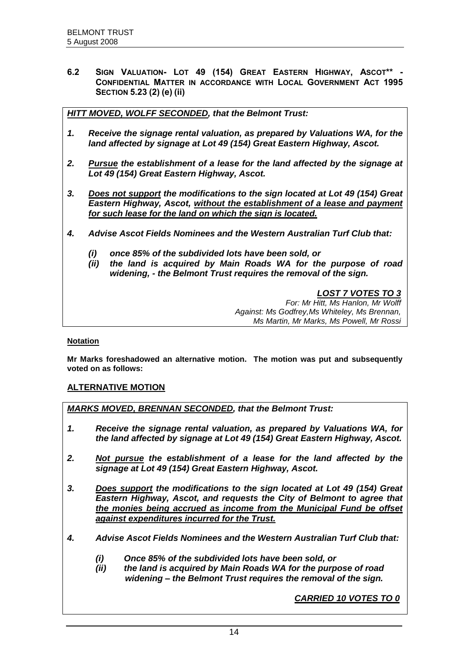**6.2 SIGN VALUATION- LOT 49 (154) GREAT EASTERN HIGHWAY, ASCOT\*\* - CONFIDENTIAL MATTER IN ACCORDANCE WITH LOCAL GOVERNMENT ACT 1995 SECTION 5.23 (2) (e) (ii)**

*HITT MOVED, WOLFF SECONDED, that the Belmont Trust:*

- *1. Receive the signage rental valuation, as prepared by Valuations WA, for the land affected by signage at Lot 49 (154) Great Eastern Highway, Ascot.*
- *2. Pursue the establishment of a lease for the land affected by the signage at Lot 49 (154) Great Eastern Highway, Ascot.*
- *3. Does not support the modifications to the sign located at Lot 49 (154) Great Eastern Highway, Ascot, without the establishment of a lease and payment for such lease for the land on which the sign is located.*
- *4. Advise Ascot Fields Nominees and the Western Australian Turf Club that:*
	- *(i) once 85% of the subdivided lots have been sold, or*
	- *(ii) the land is acquired by Main Roads WA for the purpose of road widening, - the Belmont Trust requires the removal of the sign.*

*LOST 7 VOTES TO 3 For: Mr Hitt, Ms Hanlon, Mr Wolff Against: Ms Godfrey,Ms Whiteley, Ms Brennan, Ms Martin, Mr Marks, Ms Powell, Mr Rossi*

#### **Notation**

**Mr Marks foreshadowed an alternative motion. The motion was put and subsequently voted on as follows:**

#### **ALTERNATIVE MOTION**

*MARKS MOVED, BRENNAN SECONDED, that the Belmont Trust:*

- *1. Receive the signage rental valuation, as prepared by Valuations WA, for the land affected by signage at Lot 49 (154) Great Eastern Highway, Ascot.*
- *2. Not pursue the establishment of a lease for the land affected by the signage at Lot 49 (154) Great Eastern Highway, Ascot.*
- *3. Does support the modifications to the sign located at Lot 49 (154) Great Eastern Highway, Ascot, and requests the City of Belmont to agree that the monies being accrued as income from the Municipal Fund be offset against expenditures incurred for the Trust.*
- *4. Advise Ascot Fields Nominees and the Western Australian Turf Club that:*
	- *(i) Once 85% of the subdivided lots have been sold, or*
	- *(ii) the land is acquired by Main Roads WA for the purpose of road widening – the Belmont Trust requires the removal of the sign.*

*CARRIED 10 VOTES TO 0*